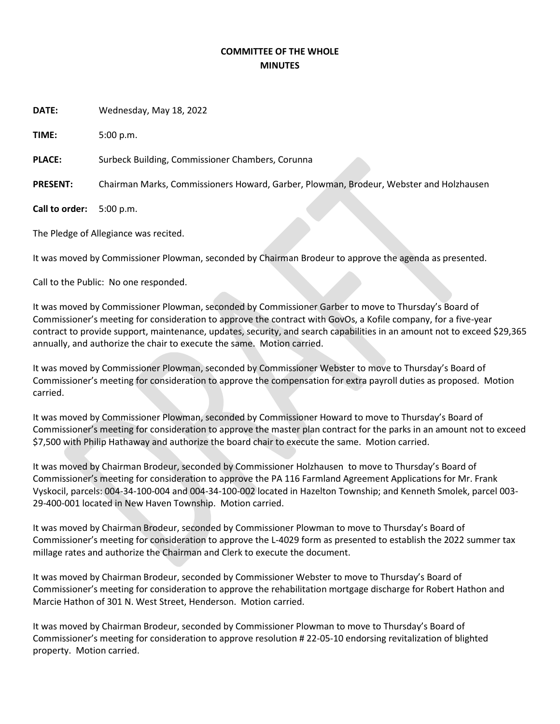## **COMMITTEE OF THE WHOLE MINUTES**

**DATE:** Wednesday, May 18, 2022

**TIME:** 5:00 p.m.

PLACE: Surbeck Building, Commissioner Chambers, Corunna

**PRESENT:** Chairman Marks, Commissioners Howard, Garber, Plowman, Brodeur, Webster and Holzhausen

**Call to order:** 5:00 p.m.

The Pledge of Allegiance was recited.

It was moved by Commissioner Plowman, seconded by Chairman Brodeur to approve the agenda as presented.

Call to the Public: No one responded.

It was moved by Commissioner Plowman, seconded by Commissioner Garber to move to Thursday's Board of Commissioner's meeting for consideration to approve the contract with GovOs, a Kofile company, for a five-year contract to provide support, maintenance, updates, security, and search capabilities in an amount not to exceed \$29,365 annually, and authorize the chair to execute the same. Motion carried.

It was moved by Commissioner Plowman, seconded by Commissioner Webster to move to Thursday's Board of Commissioner's meeting for consideration to approve the compensation for extra payroll duties as proposed. Motion carried.

It was moved by Commissioner Plowman, seconded by Commissioner Howard to move to Thursday's Board of Commissioner's meeting for consideration to approve the master plan contract for the parks in an amount not to exceed \$7,500 with Philip Hathaway and authorize the board chair to execute the same. Motion carried.

It was moved by Chairman Brodeur, seconded by Commissioner Holzhausen to move to Thursday's Board of Commissioner's meeting for consideration to approve the PA 116 Farmland Agreement Applications for Mr. Frank Vyskocil, parcels: 004-34-100-004 and 004-34-100-002 located in Hazelton Township; and Kenneth Smolek, parcel 003- 29-400-001 located in New Haven Township. Motion carried.

It was moved by Chairman Brodeur, seconded by Commissioner Plowman to move to Thursday's Board of Commissioner's meeting for consideration to approve the L-4029 form as presented to establish the 2022 summer tax millage rates and authorize the Chairman and Clerk to execute the document.

It was moved by Chairman Brodeur, seconded by Commissioner Webster to move to Thursday's Board of Commissioner's meeting for consideration to approve the rehabilitation mortgage discharge for Robert Hathon and Marcie Hathon of 301 N. West Street, Henderson. Motion carried.

It was moved by Chairman Brodeur, seconded by Commissioner Plowman to move to Thursday's Board of Commissioner's meeting for consideration to approve resolution # 22-05-10 endorsing revitalization of blighted property. Motion carried.